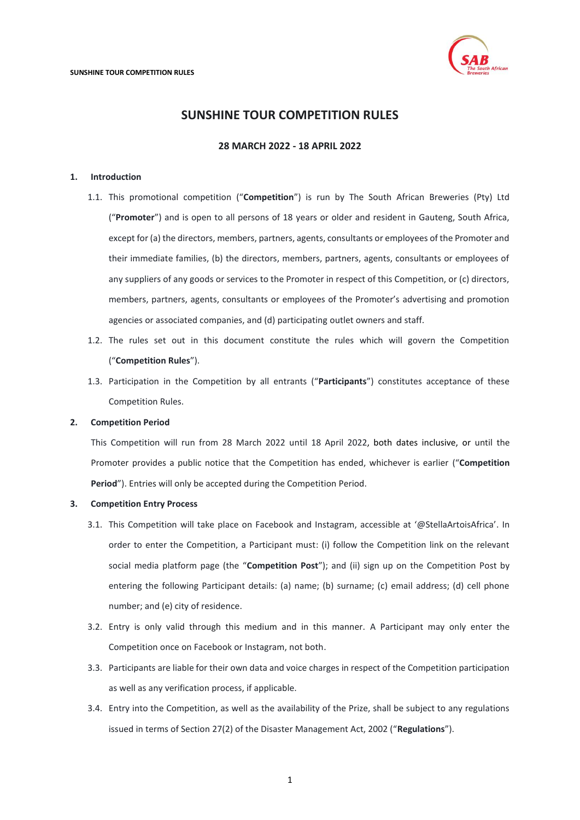

## **28 MARCH 2022 - 18 APRIL 2022**

## <span id="page-0-0"></span>**1. Introduction**

- 1.1. This promotional competition ("**Competition**") is run by The South African Breweries (Pty) Ltd ("**Promoter**") and is open to all persons of 18 years or older and resident in Gauteng, South Africa, except for (a) the directors, members, partners, agents, consultants or employees of the Promoter and their immediate families, (b) the directors, members, partners, agents, consultants or employees of any suppliers of any goods or services to the Promoter in respect of this Competition, or (c) directors, members, partners, agents, consultants or employees of the Promoter's advertising and promotion agencies or associated companies, and (d) participating outlet owners and staff.
- 1.2. The rules set out in this document constitute the rules which will govern the Competition ("**Competition Rules**").
- 1.3. Participation in the Competition by all entrants ("**Participants**") constitutes acceptance of these Competition Rules.

## **2. Competition Period**

This Competition will run from 28 March 2022 until 18 April 2022, both dates inclusive, or until the Promoter provides a public notice that the Competition has ended, whichever is earlier ("**Competition Period**"). Entries will only be accepted during the Competition Period.

#### **3. Competition Entry Process**

- 3.1. This Competition will take place on Facebook and Instagram, accessible at '@StellaArtoisAfrica'. In order to enter the Competition, a Participant must: (i) follow the Competition link on the relevant social media platform page (the "**Competition Post**"); and (ii) sign up on the Competition Post by entering the following Participant details: (a) name; (b) surname; (c) email address; (d) cell phone number; and (e) city of residence.
- 3.2. Entry is only valid through this medium and in this manner. A Participant may only enter the Competition once on Facebook or Instagram, not both.
- 3.3. Participants are liable for their own data and voice charges in respect of the Competition participation as well as any verification process, if applicable.
- 3.4. Entry into the Competition, as well as the availability of the Prize, shall be subject to any regulations issued in terms of Section 27(2) of the Disaster Management Act, 2002 ("**Regulations**").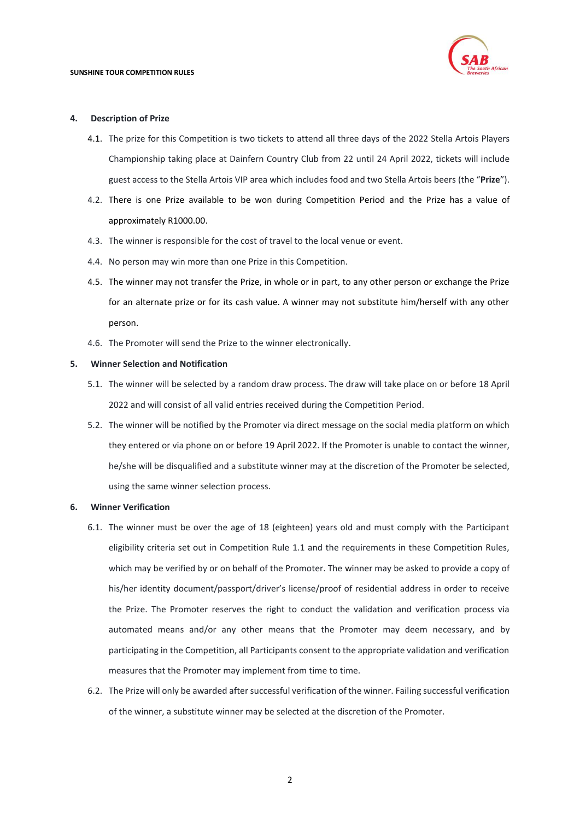

#### **4. Description of Prize**

- 4.1. The prize for this Competition is two tickets to attend all three days of the 2022 Stella Artois Players Championship taking place at Dainfern Country Club from 22 until 24 April 2022, tickets will include guest access to the Stella Artois VIP area which includes food and two Stella Artois beers (the "**Prize**").
- 4.2. There is one Prize available to be won during Competition Period and the Prize has a value of approximately R1000.00.
- 4.3. The winner is responsible for the cost of travel to the local venue or event.
- 4.4. No person may win more than one Prize in this Competition.
- 4.5. The winner may not transfer the Prize, in whole or in part, to any other person or exchange the Prize for an alternate prize or for its cash value. A winner may not substitute him/herself with any other person.
- 4.6. The Promoter will send the Prize to the winner electronically.

#### **5. Winner Selection and Notification**

- 5.1. The winner will be selected by a random draw process. The draw will take place on or before 18 April 2022 and will consist of all valid entries received during the Competition Period.
- 5.2. The winner will be notified by the Promoter via direct message on the social media platform on which they entered or via phone on or before 19 April 2022. If the Promoter is unable to contact the winner, he/she will be disqualified and a substitute winner may at the discretion of the Promoter be selected, using the same winner selection process.

## **6. Winner Verification**

- 6.1. The winner must be over the age of 18 (eighteen) years old and must comply with the Participant eligibility criteria set out in Competition Rule [1.1](#page-0-0) and the requirements in these Competition Rules, which may be verified by or on behalf of the Promoter. The winner may be asked to provide a copy of his/her identity document/passport/driver's license/proof of residential address in order to receive the Prize. The Promoter reserves the right to conduct the validation and verification process via automated means and/or any other means that the Promoter may deem necessary, and by participating in the Competition, all Participants consent to the appropriate validation and verification measures that the Promoter may implement from time to time.
- 6.2. The Prize will only be awarded after successful verification of the winner. Failing successful verification of the winner, a substitute winner may be selected at the discretion of the Promoter.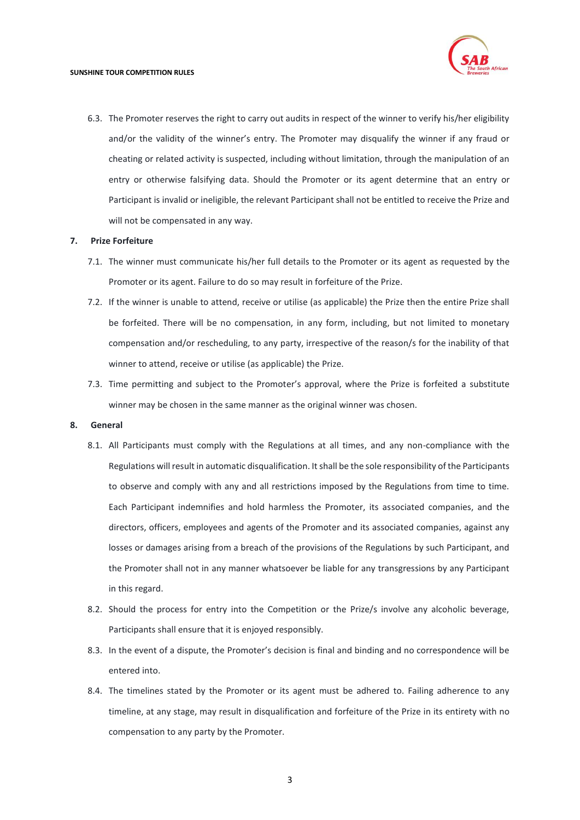6.3. The Promoter reserves the right to carry out audits in respect of the winner to verify his/her eligibility and/or the validity of the winner's entry. The Promoter may disqualify the winner if any fraud or cheating or related activity is suspected, including without limitation, through the manipulation of an entry or otherwise falsifying data. Should the Promoter or its agent determine that an entry or Participant is invalid or ineligible, the relevant Participant shall not be entitled to receive the Prize and will not be compensated in any way.

#### **7. Prize Forfeiture**

- 7.1. The winner must communicate his/her full details to the Promoter or its agent as requested by the Promoter or its agent. Failure to do so may result in forfeiture of the Prize.
- 7.2. If the winner is unable to attend, receive or utilise (as applicable) the Prize then the entire Prize shall be forfeited. There will be no compensation, in any form, including, but not limited to monetary compensation and/or rescheduling, to any party, irrespective of the reason/s for the inability of that winner to attend, receive or utilise (as applicable) the Prize.
- 7.3. Time permitting and subject to the Promoter's approval, where the Prize is forfeited a substitute winner may be chosen in the same manner as the original winner was chosen.

#### **8. General**

- 8.1. All Participants must comply with the Regulations at all times, and any non-compliance with the Regulations will result in automatic disqualification. It shall be the sole responsibility of the Participants to observe and comply with any and all restrictions imposed by the Regulations from time to time. Each Participant indemnifies and hold harmless the Promoter, its associated companies, and the directors, officers, employees and agents of the Promoter and its associated companies, against any losses or damages arising from a breach of the provisions of the Regulations by such Participant, and the Promoter shall not in any manner whatsoever be liable for any transgressions by any Participant in this regard.
- 8.2. Should the process for entry into the Competition or the Prize/s involve any alcoholic beverage, Participants shall ensure that it is enjoyed responsibly.
- 8.3. In the event of a dispute, the Promoter's decision is final and binding and no correspondence will be entered into.
- 8.4. The timelines stated by the Promoter or its agent must be adhered to. Failing adherence to any timeline, at any stage, may result in disqualification and forfeiture of the Prize in its entirety with no compensation to any party by the Promoter.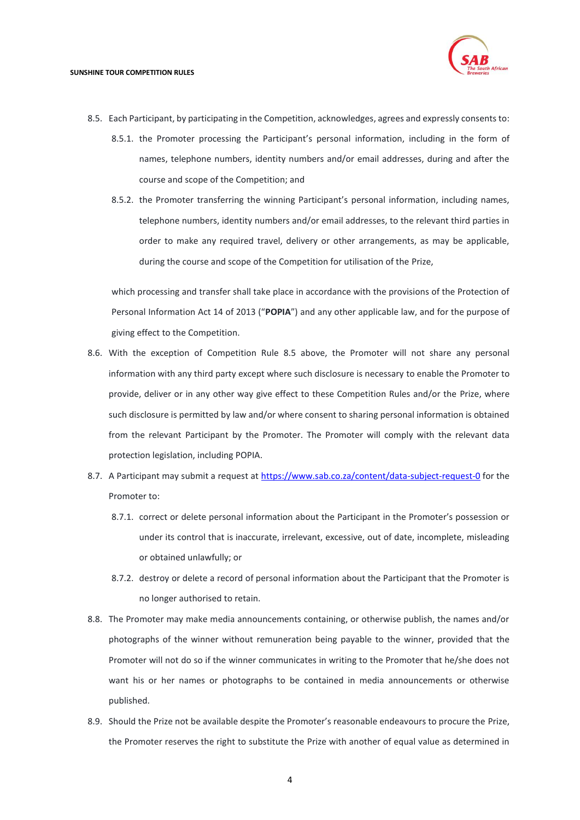

- <span id="page-3-0"></span>8.5. Each Participant, by participating in the Competition, acknowledges, agrees and expressly consents to:
	- 8.5.1. the Promoter processing the Participant's personal information, including in the form of names, telephone numbers, identity numbers and/or email addresses, during and after the course and scope of the Competition; and
	- 8.5.2. the Promoter transferring the winning Participant's personal information, including names, telephone numbers, identity numbers and/or email addresses, to the relevant third parties in order to make any required travel, delivery or other arrangements, as may be applicable, during the course and scope of the Competition for utilisation of the Prize,

which processing and transfer shall take place in accordance with the provisions of the Protection of Personal Information Act 14 of 2013 ("**POPIA**") and any other applicable law, and for the purpose of giving effect to the Competition.

- 8.6. With the exception of Competition Rule [8.5](#page-3-0) above, the Promoter will not share any personal information with any third party except where such disclosure is necessary to enable the Promoter to provide, deliver or in any other way give effect to these Competition Rules and/or the Prize, where such disclosure is permitted by law and/or where consent to sharing personal information is obtained from the relevant Participant by the Promoter. The Promoter will comply with the relevant data protection legislation, including POPIA.
- 8.7. A Participant may submit a request at<https://www.sab.co.za/content/data-subject-request-0> for the Promoter to:
	- 8.7.1. correct or delete personal information about the Participant in the Promoter's possession or under its control that is inaccurate, irrelevant, excessive, out of date, incomplete, misleading or obtained unlawfully; or
	- 8.7.2. destroy or delete a record of personal information about the Participant that the Promoter is no longer authorised to retain.
- 8.8. The Promoter may make media announcements containing, or otherwise publish, the names and/or photographs of the winner without remuneration being payable to the winner, provided that the Promoter will not do so if the winner communicates in writing to the Promoter that he/she does not want his or her names or photographs to be contained in media announcements or otherwise published.
- 8.9. Should the Prize not be available despite the Promoter's reasonable endeavours to procure the Prize, the Promoter reserves the right to substitute the Prize with another of equal value as determined in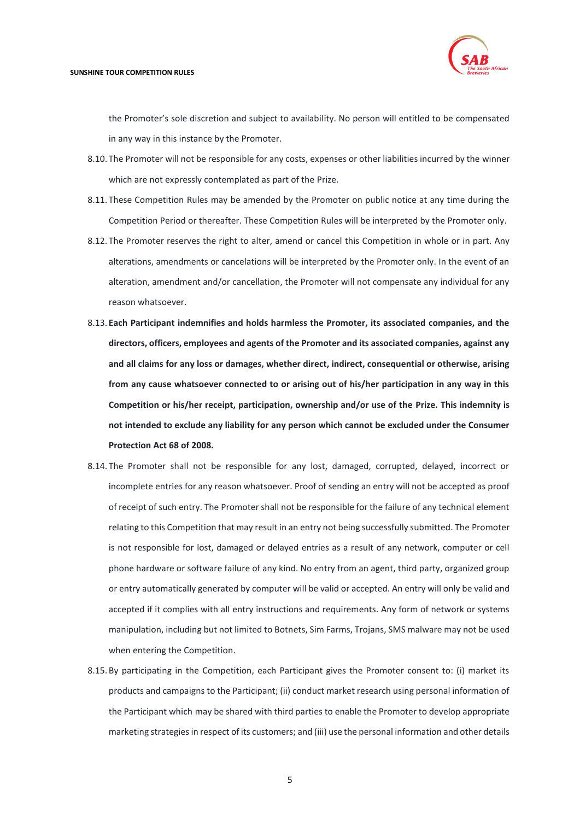

the Promoter's sole discretion and subject to availability. No person will entitled to be compensated in any way in this instance by the Promoter.

- 8.10. The Promoter will not be responsible for any costs, expenses or other liabilities incurred by the winner which are not expressly contemplated as part of the Prize.
- 8.11. These Competition Rules may be amended by the Promoter on public notice at any time during the Competition Period or thereafter. These Competition Rules will be interpreted by the Promoter only.
- 8.12. The Promoter reserves the right to alter, amend or cancel this Competition in whole or in part. Any alterations, amendments or cancelations will be interpreted by the Promoter only. In the event of an alteration, amendment and/or cancellation, the Promoter will not compensate any individual for any reason whatsoever.
- 8.13. **Each Participant indemnifies and holds harmless the Promoter, its associated companies, and the directors, officers, employees and agents of the Promoter and its associated companies, against any and all claims for any loss or damages, whether direct, indirect, consequential or otherwise, arising from any cause whatsoever connected to or arising out of his/her participation in any way in this Competition or his/her receipt, participation, ownership and/or use of the Prize. This indemnity is not intended to exclude any liability for any person which cannot be excluded under the Consumer Protection Act 68 of 2008.**
- 8.14. The Promoter shall not be responsible for any lost, damaged, corrupted, delayed, incorrect or incomplete entries for any reason whatsoever. Proof of sending an entry will not be accepted as proof of receipt of such entry. The Promoter shall not be responsible for the failure of any technical element relating to this Competition that may result in an entry not being successfully submitted. The Promoter is not responsible for lost, damaged or delayed entries as a result of any network, computer or cell phone hardware or software failure of any kind. No entry from an agent, third party, organized group or entry automatically generated by computer will be valid or accepted. An entry will only be valid and accepted if it complies with all entry instructions and requirements. Any form of network or systems manipulation, including but not limited to Botnets, Sim Farms, Trojans, SMS malware may not be used when entering the Competition.
- 8.15. By participating in the Competition, each Participant gives the Promoter consent to: (i) market its products and campaigns to the Participant; (ii) conduct market research using personal information of the Participant which may be shared with third parties to enable the Promoter to develop appropriate marketing strategies in respect of its customers; and (iii) use the personal information and other details